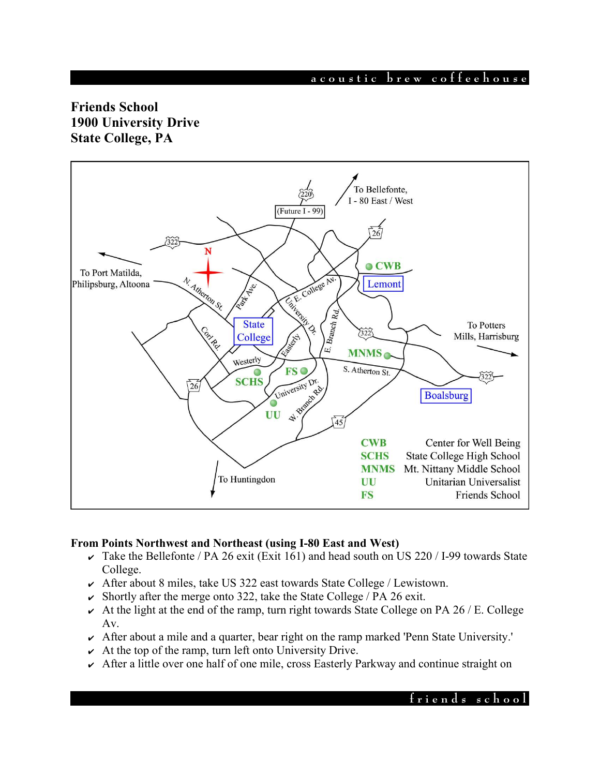**a c o u s t i c b r e w c o f f e e h o u s e**

# **Friends School 1900 University Drive State College, PA**



#### **From Points Northwest and Northeast (using I-80 East and West)**

- $\overline{\smash{\mathsf{K}}}$  Take the Bellefonte / PA 26 exit (Exit 161) and head south on US 220 / I-99 towards State College.
- $\sim$  After about 8 miles, take US 322 east towards State College / Lewistown.
- $\triangleright$  Shortly after the merge onto 322, take the State College / PA 26 exit.
- $\sim$  At the light at the end of the ramp, turn right towards State College on PA 26 / E. College Av.
- ✔ After about a mile and a quarter, bear right on the ramp marked 'Penn State University.'
- $\sim$  At the top of the ramp, turn left onto University Drive.
- $\sim$  After a little over one half of one mile, cross Easterly Parkway and continue straight on